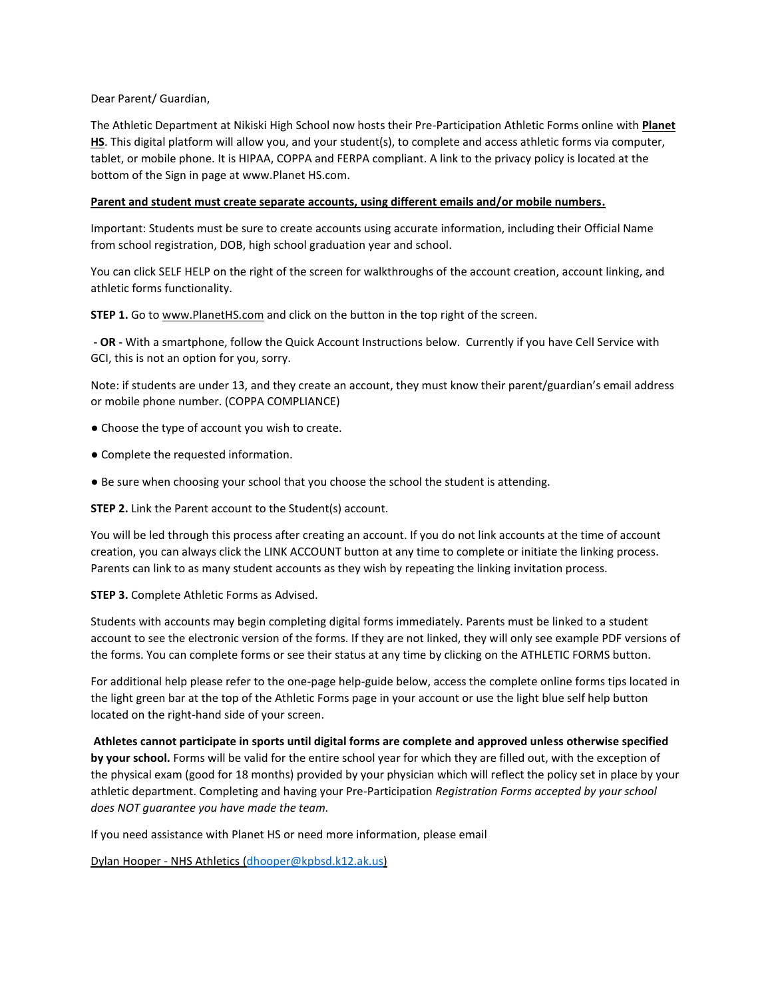Dear Parent/ Guardian,

The Athletic Department at Nikiski High School now hosts their Pre-Participation Athletic Forms online with **Planet HS**. This digital platform will allow you, and your student(s), to complete and access athletic forms via computer, tablet, or mobile phone. It is HIPAA, COPPA and FERPA compliant. A link to the privacy policy is located at the bottom of the Sign in page at www.Planet HS.com.

## **Parent and student must create separate accounts, using different emails and/or mobile numbers.**

Important: Students must be sure to create accounts using accurate information, including their Official Name from school registration, DOB, high school graduation year and school.

You can click SELF HELP on the right of the screen for walkthroughs of the account creation, account linking, and athletic forms functionality.

**STEP 1.** Go to www.PlanetHS.com and click on the button in the top right of the screen.

**- OR -** With a smartphone, follow the Quick Account Instructions below. Currently if you have Cell Service with GCI, this is not an option for you, sorry.

Note: if students are under 13, and they create an account, they must know their parent/guardian's email address or mobile phone number. (COPPA COMPLIANCE)

- Choose the type of account you wish to create.
- Complete the requested information.
- Be sure when choosing your school that you choose the school the student is attending.

**STEP 2.** Link the Parent account to the Student(s) account.

You will be led through this process after creating an account. If you do not link accounts at the time of account creation, you can always click the LINK ACCOUNT button at any time to complete or initiate the linking process. Parents can link to as many student accounts as they wish by repeating the linking invitation process.

**STEP 3.** Complete Athletic Forms as Advised.

Students with accounts may begin completing digital forms immediately. Parents must be linked to a student account to see the electronic version of the forms. If they are not linked, they will only see example PDF versions of the forms. You can complete forms or see their status at any time by clicking on the ATHLETIC FORMS button.

For additional help please refer to the one-page help-guide below, access the complete online forms tips located in the light green bar at the top of the Athletic Forms page in your account or use the light blue self help button located on the right-hand side of your screen.

**Athletes cannot participate in sports until digital forms are complete and approved unless otherwise specified by your school.** Forms will be valid for the entire school year for which they are filled out, with the exception of the physical exam (good for 18 months) provided by your physician which will reflect the policy set in place by your athletic department. Completing and having your Pre-Participation *Registration Forms accepted by your school does NOT guarantee you have made the team.*

If you need assistance with Planet HS or need more information, please email

Dylan Hooper - NHS Athletics [\(dhooper@kpbsd.k](mailto:dhooper@kpbsd.)12.ak.us)